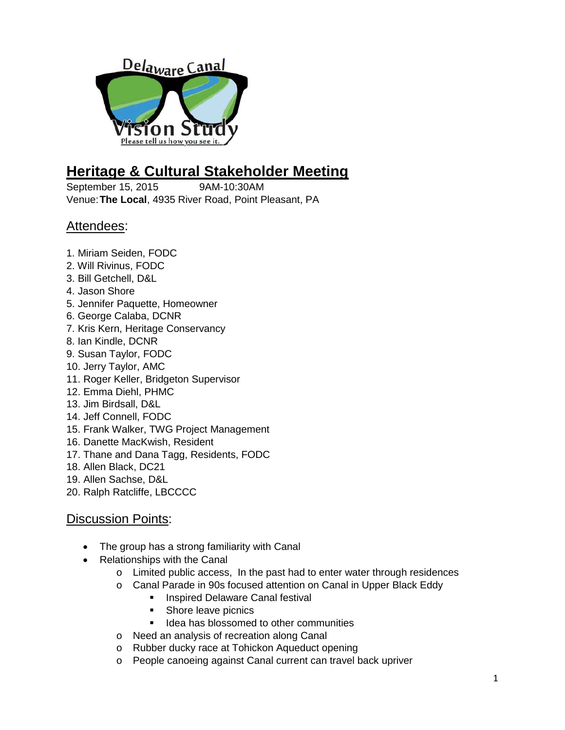

# **Heritage & Cultural Stakeholder Meeting**

September 15, 2015 9AM-10:30AM Venue:**The Local**, 4935 River Road, Point Pleasant, PA

## Attendees:

- 1. Miriam Seiden, FODC
- 2. Will Rivinus, FODC
- 3. Bill Getchell, D&L
- 4. Jason Shore
- 5. Jennifer Paquette, Homeowner
- 6. George Calaba, DCNR
- 7. Kris Kern, Heritage Conservancy
- 8. Ian Kindle, DCNR
- 9. Susan Taylor, FODC
- 10. Jerry Taylor, AMC
- 11. Roger Keller, Bridgeton Supervisor
- 12. Emma Diehl, PHMC
- 13. Jim Birdsall, D&L
- 14. Jeff Connell, FODC
- 15. Frank Walker, TWG Project Management
- 16. Danette MacKwish, Resident
- 17. Thane and Dana Tagg, Residents, FODC
- 18. Allen Black, DC21
- 19. Allen Sachse, D&L
- 20. Ralph Ratcliffe, LBCCCC

- The group has a strong familiarity with Canal
- Relationships with the Canal
	- o Limited public access, In the past had to enter water through residences
	- o Canal Parade in 90s focused attention on Canal in Upper Black Eddy
		- **Inspired Delaware Canal festival**
		- Shore leave picnics
		- **If lidea has blossomed to other communities**
	- o Need an analysis of recreation along Canal
	- o Rubber ducky race at Tohickon Aqueduct opening
	- o People canoeing against Canal current can travel back upriver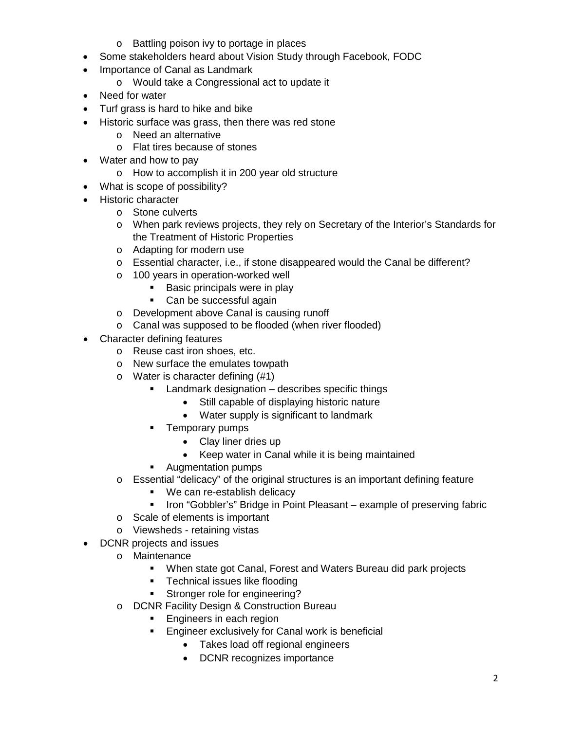- o Battling poison ivy to portage in places
- Some stakeholders heard about Vision Study through Facebook, FODC
- Importance of Canal as Landmark
	- o Would take a Congressional act to update it
- Need for water
- Turf grass is hard to hike and bike
- Historic surface was grass, then there was red stone
	- o Need an alternative
	- o Flat tires because of stones
- Water and how to pay
	- o How to accomplish it in 200 year old structure
- What is scope of possibility?
- Historic character
	- o Stone culverts
	- o When park reviews projects, they rely on Secretary of the Interior's Standards for the Treatment of Historic Properties
	- o Adapting for modern use
	- $\circ$  Essential character, i.e., if stone disappeared would the Canal be different?
	- o 100 years in operation-worked well
		- **Basic principals were in play**
		- Can be successful again
	- o Development above Canal is causing runoff
	- o Canal was supposed to be flooded (when river flooded)
- Character defining features
	- o Reuse cast iron shoes, etc.
	- o New surface the emulates towpath
	- o Water is character defining (#1)
		- **EXEC** Landmark designation describes specific things
			- Still capable of displaying historic nature
			- Water supply is significant to landmark
		- **Temporary pumps** 
			- Clay liner dries up
			- Keep water in Canal while it is being maintained
		- **Augmentation pumps**
	- $\circ$  Essential "delicacy" of the original structures is an important defining feature
		- We can re-establish delicacy
		- **IFCH** Iron "Gobbler's" Bridge in Point Pleasant example of preserving fabric
	- o Scale of elements is important
	- o Viewsheds retaining vistas
- DCNR projects and issues
	- o Maintenance
		- When state got Canal, Forest and Waters Bureau did park projects
		- **Technical issues like flooding**
		- **Stronger role for engineering?**
	- o DCNR Facility Design & Construction Bureau
		- **Engineers in each region**
		- **Engineer exclusively for Canal work is beneficial** 
			- Takes load off regional engineers
			- DCNR recognizes importance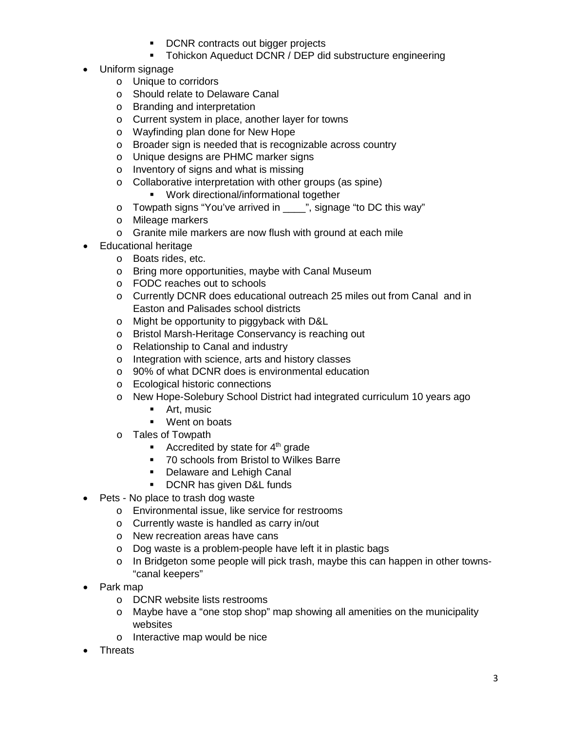- **DCNR** contracts out bigger projects
- **Tohickon Aqueduct DCNR / DEP did substructure engineering**
- Uniform signage
	- o Unique to corridors
	- o Should relate to Delaware Canal
	- o Branding and interpretation
	- o Current system in place, another layer for towns
	- o Wayfinding plan done for New Hope
	- o Broader sign is needed that is recognizable across country
	- o Unique designs are PHMC marker signs
	- o Inventory of signs and what is missing
	- o Collaborative interpretation with other groups (as spine)
		- **Work directional/informational together**
	- o Towpath signs "You've arrived in \_\_\_\_", signage "to DC this way"
	- o Mileage markers
	- o Granite mile markers are now flush with ground at each mile
- Educational heritage
	- o Boats rides, etc.
	- o Bring more opportunities, maybe with Canal Museum
	- o FODC reaches out to schools
	- o Currently DCNR does educational outreach 25 miles out from Canal and in Easton and Palisades school districts
	- o Might be opportunity to piggyback with D&L
	- o Bristol Marsh-Heritage Conservancy is reaching out
	- o Relationship to Canal and industry
	- o Integration with science, arts and history classes
	- o 90% of what DCNR does is environmental education
	- o Ecological historic connections
	- o New Hope-Solebury School District had integrated curriculum 10 years ago
		- **Art, music**
		- **Went on boats**
	- o Tales of Towpath
		- Accredited by state for  $4<sup>th</sup>$  grade
		- 70 schools from Bristol to Wilkes Barre
		- **Delaware and Lehigh Canal**
		- **DCNR has given D&L funds**
- Pets No place to trash dog waste
	- o Environmental issue, like service for restrooms
	- o Currently waste is handled as carry in/out
	- o New recreation areas have cans
	- o Dog waste is a problem-people have left it in plastic bags
	- o In Bridgeton some people will pick trash, maybe this can happen in other towns- "canal keepers"
- Park map
	- o DCNR website lists restrooms
	- o Maybe have a "one stop shop" map showing all amenities on the municipality websites
	- o Interactive map would be nice
- **Threats**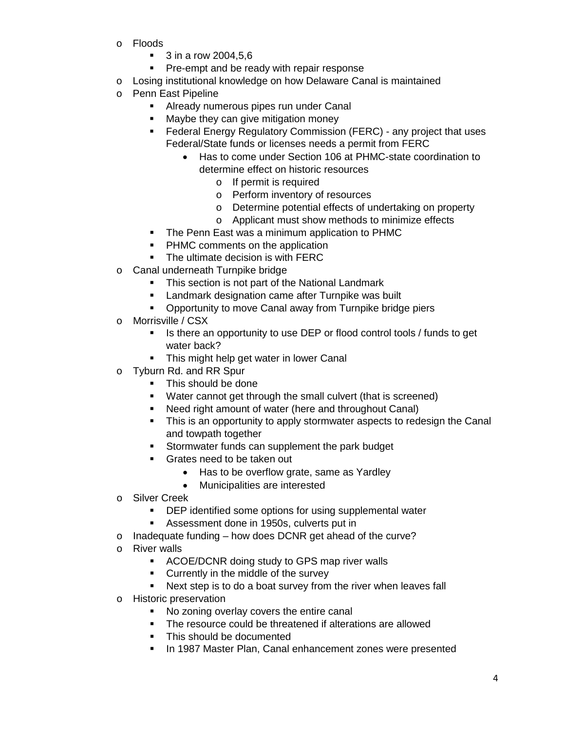- o Floods
	- **3** in a row 2004,5,6
	- **Pre-empt and be ready with repair response**
- o Losing institutional knowledge on how Delaware Canal is maintained
- o Penn East Pipeline
	- **Already numerous pipes run under Canal**
	- Maybe they can give mitigation money
	- **Federal Energy Regulatory Commission (FERC) any project that uses** Federal/State funds or licenses needs a permit from FERC
		- Has to come under Section 106 at PHMC-state coordination to determine effect on historic resources
			- o If permit is required
			- o Perform inventory of resources
			- o Determine potential effects of undertaking on property
			- o Applicant must show methods to minimize effects
	- The Penn East was a minimum application to PHMC
	- PHMC comments on the application
	- The ultimate decision is with FERC
- o Canal underneath Turnpike bridge
	- This section is not part of the National Landmark
	- **EXECT** Landmark designation came after Turnpike was built
	- **Opportunity to move Canal away from Turnpike bridge piers**
- o Morrisville / CSX
	- Is there an opportunity to use DEP or flood control tools / funds to get water back?
	- **This might help get water in lower Canal**
- o Tyburn Rd. and RR Spur
	- This should be done
	- Water cannot get through the small culvert (that is screened)
	- Need right amount of water (here and throughout Canal)
	- This is an opportunity to apply stormwater aspects to redesign the Canal and towpath together
	- **Stormwater funds can supplement the park budget**
	- **Grates need to be taken out** 
		- Has to be overflow grate, same as Yardley
		- Municipalities are interested
- o Silver Creek
	- **DEP identified some options for using supplemental water**
	- Assessment done in 1950s, culverts put in
- o Inadequate funding how does DCNR get ahead of the curve?
- o River walls
	- **ACOE/DCNR doing study to GPS map river walls**
	- **Currently in the middle of the survey**
	- Next step is to do a boat survey from the river when leaves fall
- o Historic preservation
	- No zoning overlay covers the entire canal
	- The resource could be threatened if alterations are allowed
	- This should be documented
	- **In 1987 Master Plan, Canal enhancement zones were presented**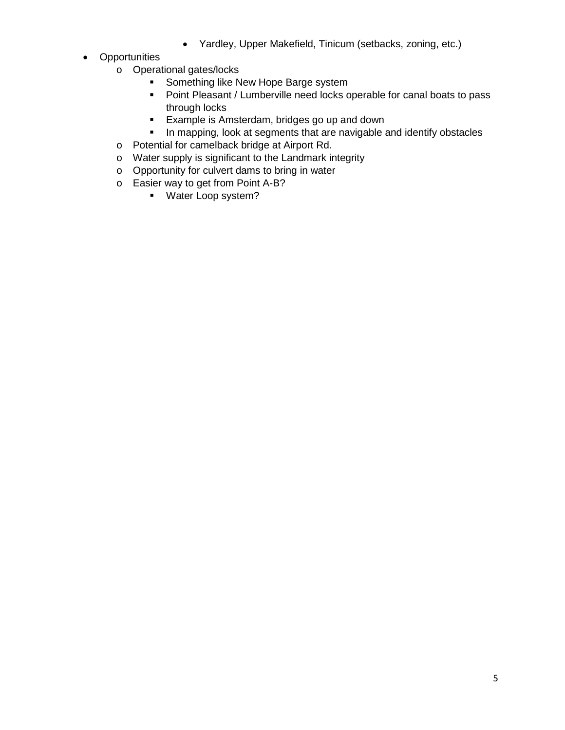- Yardley, Upper Makefield, Tinicum (setbacks, zoning, etc.)
- Opportunities
	- o Operational gates/locks
		- Something like New Hope Barge system
		- **•** Point Pleasant / Lumberville need locks operable for canal boats to pass through locks
		- **Example is Amsterdam, bridges go up and down**
		- **In mapping, look at segments that are navigable and identify obstacles**
	- o Potential for camelback bridge at Airport Rd.
	- o Water supply is significant to the Landmark integrity
	- o Opportunity for culvert dams to bring in water
	- o Easier way to get from Point A-B?
		- **Water Loop system?**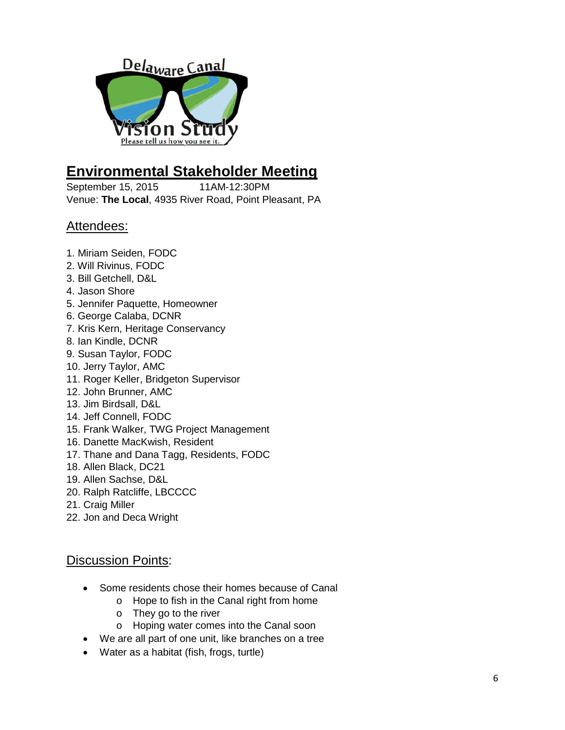

## **Environmental Stakeholder Meeting**

September 15, 2015 11AM-12:30PM Venue: **The Local**, 4935 River Road, Point Pleasant, PA

## Attendees:

- 1. Miriam Seiden, FODC
- 2. Will Rivinus, FODC
- 3. Bill Getchell, D&L
- 4. Jason Shore
- 5. Jennifer Paquette, Homeowner
- 6. George Calaba, DCNR
- 7. Kris Kern, Heritage Conservancy
- 8. Ian Kindle, DCNR
- 9. Susan Taylor, FODC
- 10. Jerry Taylor, AMC
- 11. Roger Keller, Bridgeton Supervisor
- 12. John Brunner, AMC
- 13. Jim Birdsall, D&L
- 14. Jeff Connell, FODC
- 15. Frank Walker, TWG Project Management
- 16. Danette MacKwish, Resident
- 17. Thane and Dana Tagg, Residents, FODC
- 18. Allen Black, DC21
- 19. Allen Sachse, D&L
- 20. Ralph Ratcliffe, LBCCCC
- 21. Craig Miller
- 22. Jon and Deca Wright

- Some residents chose their homes because of Canal
	- o Hope to fish in the Canal right from home
	- o They go to the river
	- o Hoping water comes into the Canal soon
- We are all part of one unit, like branches on a tree
- Water as a habitat (fish, frogs, turtle)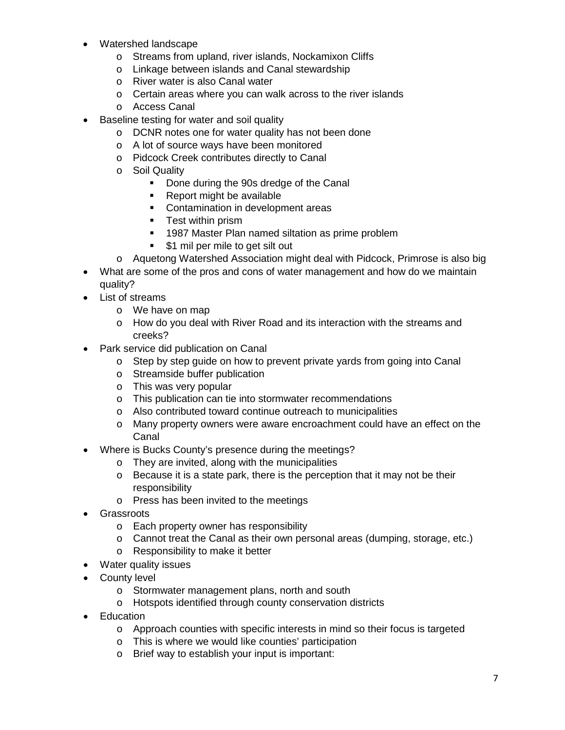- Watershed landscape
	- o Streams from upland, river islands, Nockamixon Cliffs
	- o Linkage between islands and Canal stewardship
	- o River water is also Canal water
	- o Certain areas where you can walk across to the river islands
	- o Access Canal
- Baseline testing for water and soil quality
	- o DCNR notes one for water quality has not been done
	- o A lot of source ways have been monitored
	- o Pidcock Creek contributes directly to Canal
	- o Soil Quality<br>Done
		- Done during the 90s dredge of the Canal
		- Report might be available
		- **•** Contamination in development areas
		- **Test within prism**
		- **1987 Master Plan named siltation as prime problem**
		- **51 mil per mile to get silt out**
	- o Aquetong Watershed Association might deal with Pidcock, Primrose is also big
- What are some of the pros and cons of water management and how do we maintain quality?
- List of streams
	- o We have on map
	- o How do you deal with River Road and its interaction with the streams and creeks?
- Park service did publication on Canal
	- o Step by step guide on how to prevent private yards from going into Canal
	- o Streamside buffer publication
	- o This was very popular
	- o This publication can tie into stormwater recommendations
	- o Also contributed toward continue outreach to municipalities
	- o Many property owners were aware encroachment could have an effect on the Canal
- Where is Bucks County's presence during the meetings?
	- o They are invited, along with the municipalities
	- o Because it is a state park, there is the perception that it may not be their responsibility
	- o Press has been invited to the meetings
- Grassroots
	- o Each property owner has responsibility
	- o Cannot treat the Canal as their own personal areas (dumping, storage, etc.)
	- o Responsibility to make it better
- Water quality issues
- County level
	- o Stormwater management plans, north and south
	- o Hotspots identified through county conservation districts
- Education
	- $\circ$  Approach counties with specific interests in mind so their focus is targeted
	- o This is where we would like counties' participation
	- o Brief way to establish your input is important: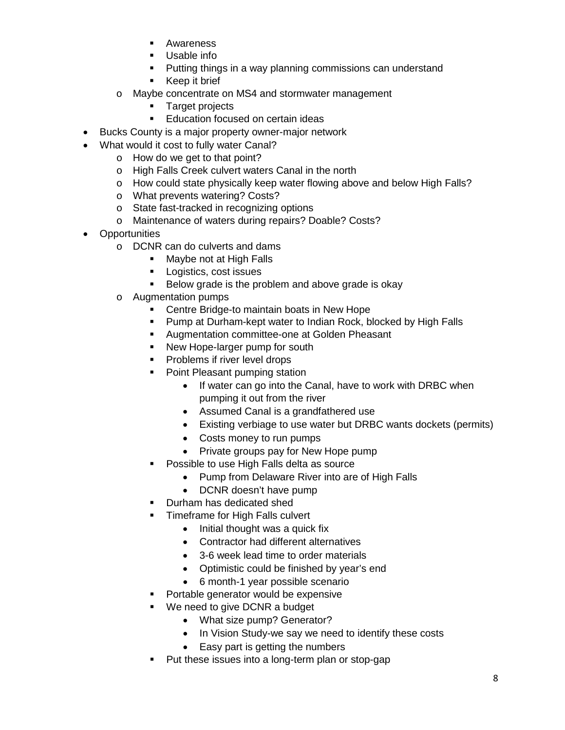- **Awareness**
- Usable info
- Putting things in a way planning commissions can understand
- **Keep it brief**
- o Maybe concentrate on MS4 and stormwater management
	- **Target projects**
	- **Education focused on certain ideas**
- Bucks County is a major property owner-major network
- What would it cost to fully water Canal?
	- o How do we get to that point?
	- o High Falls Creek culvert waters Canal in the north
	- o How could state physically keep water flowing above and below High Falls?
	- o What prevents watering? Costs?
	- o State fast-tracked in recognizing options
	- o Maintenance of waters during repairs? Doable? Costs?
- Opportunities
	- o DCNR can do culverts and dams
		- Maybe not at High Falls
		- **Logistics, cost issues**
		- Below grade is the problem and above grade is okay
	- o Augmentation pumps
		- Centre Bridge-to maintain boats in New Hope
		- Pump at Durham-kept water to Indian Rock, blocked by High Falls
		- **Augmentation committee-one at Golden Pheasant**
		- New Hope-larger pump for south
		- **Problems if river level drops**
		- Point Pleasant pumping station
			- If water can go into the Canal, have to work with DRBC when pumping it out from the river
			- Assumed Canal is a grandfathered use
			- Existing verbiage to use water but DRBC wants dockets (permits)
			- Costs money to run pumps
			- Private groups pay for New Hope pump
		- Possible to use High Falls delta as source
			- Pump from Delaware River into are of High Falls
			- DCNR doesn't have pump
		- Durham has dedicated shed
		- Timeframe for High Falls culvert
			- Initial thought was a quick fix
				- Contractor had different alternatives
				- 3-6 week lead time to order materials
				- Optimistic could be finished by year's end
				- 6 month-1 year possible scenario
		- Portable generator would be expensive
		- We need to give DCNR a budget
			- What size pump? Generator?
			- In Vision Study-we say we need to identify these costs
			- Easy part is getting the numbers
		- Put these issues into a long-term plan or stop-gap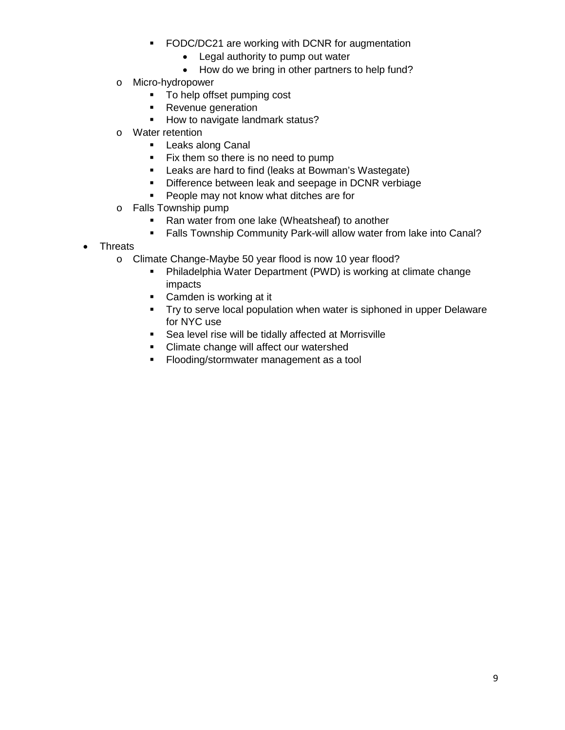- **FODC/DC21 are working with DCNR for augmentation** 
	- Legal authority to pump out water
	- How do we bring in other partners to help fund?
- o Micro-hydropower
	- To help offset pumping cost
	- Revenue generation
	- How to navigate landmark status?
- o Water retention
	- **Leaks along Canal**
	- Fix them so there is no need to pump
	- Leaks are hard to find (leaks at Bowman's Wastegate)
	- **Difference between leak and seepage in DCNR verbiage**
	- **People may not know what ditches are for**
- o Falls Township pump<br>Ran water from
	- Ran water from one lake (Wheatsheaf) to another
	- **Falls Township Community Park-will allow water from lake into Canal?**
- Threats
	- o Climate Change-Maybe 50 year flood is now 10 year flood?<br>Philadelphia Water Department (PWD) is working at
		- Philadelphia Water Department (PWD) is working at climate change impacts
		- Camden is working at it
		- **Try to serve local population when water is siphoned in upper Delaware** for NYC use
		- Sea level rise will be tidally affected at Morrisville
		- Climate change will affect our watershed
		- **Flooding/stormwater management as a tool**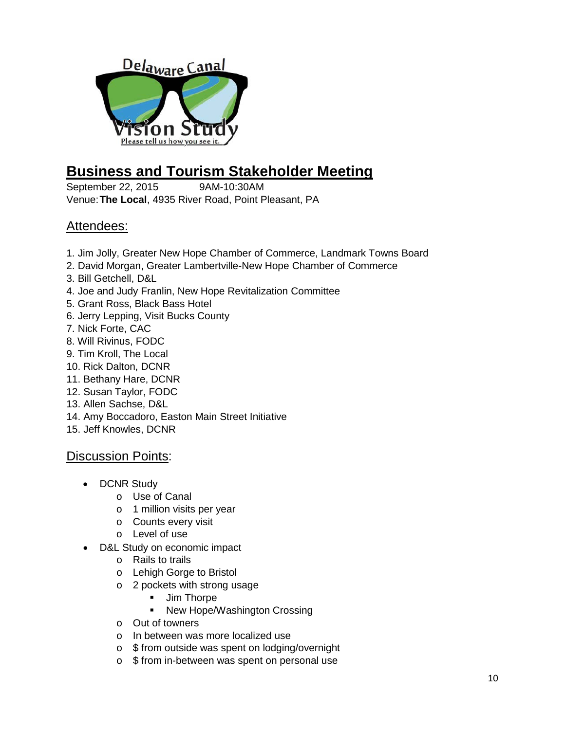

# **Business and Tourism Stakeholder Meeting**

September 22, 2015 9AM-10:30AM Venue:**The Local**, 4935 River Road, Point Pleasant, PA

## Attendees:

- 1. Jim Jolly, Greater New Hope Chamber of Commerce, Landmark Towns Board
- 2. David Morgan, Greater Lambertville-New Hope Chamber of Commerce
- 3. Bill Getchell, D&L
- 4. Joe and Judy Franlin, New Hope Revitalization Committee
- 5. Grant Ross, Black Bass Hotel
- 6. Jerry Lepping, Visit Bucks County
- 7. Nick Forte, CAC
- 8. Will Rivinus, FODC
- 9. Tim Kroll, The Local
- 10. Rick Dalton, DCNR
- 11. Bethany Hare, DCNR
- 12. Susan Taylor, FODC
- 13. Allen Sachse, D&L
- 14. Amy Boccadoro, Easton Main Street Initiative
- 15. Jeff Knowles, DCNR

- DCNR Study
	- o Use of Canal
	- o 1 million visits per year
	- o Counts every visit
	- o Level of use
- D&L Study on economic impact
	- o Rails to trails
	- o Lehigh Gorge to Bristol
	- o 2 pockets with strong usage<br>Jim Thorpe
		- Jim Thorpe
		- New Hope/Washington Crossing
	- o Out of towners
	- o In between was more localized use
	- o \$ from outside was spent on lodging/overnight
	- o \$ from in-between was spent on personal use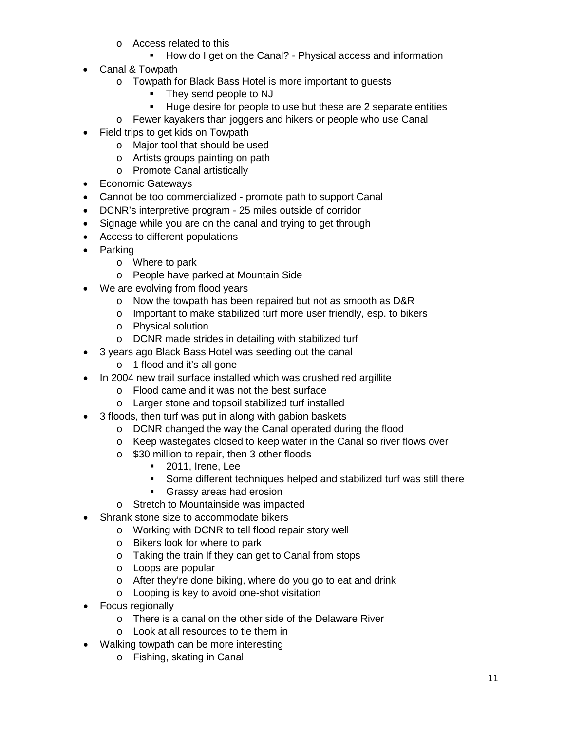- o Access related to this
	- How do I get on the Canal? Physical access and information
- Canal & Towpath
	- o Towpath for Black Bass Hotel is more important to guests
		- They send people to NJ
		- Huge desire for people to use but these are 2 separate entities
	- o Fewer kayakers than joggers and hikers or people who use Canal
- Field trips to get kids on Towpath
	- o Major tool that should be used
	- o Artists groups painting on path
	- o Promote Canal artistically
- Economic Gateways
- Cannot be too commercialized promote path to support Canal
- DCNR's interpretive program 25 miles outside of corridor
- Signage while you are on the canal and trying to get through
- Access to different populations
- Parking
	- o Where to park
	- o People have parked at Mountain Side
- We are evolving from flood years
	- o Now the towpath has been repaired but not as smooth as D&R
	- o Important to make stabilized turf more user friendly, esp. to bikers
	- o Physical solution
	- o DCNR made strides in detailing with stabilized turf
- 3 years ago Black Bass Hotel was seeding out the canal
	- o 1 flood and it's all gone
- In 2004 new trail surface installed which was crushed red argillite
	- o Flood came and it was not the best surface
	- o Larger stone and topsoil stabilized turf installed
- 3 floods, then turf was put in along with gabion baskets
	- o DCNR changed the way the Canal operated during the flood
	- o Keep wastegates closed to keep water in the Canal so river flows over
	- o \$30 million to repair, then 3 other floods
		- **2011, Irene, Lee**
		- Some different techniques helped and stabilized turf was still there
		- **Grassy areas had erosion**
	- o Stretch to Mountainside was impacted
- Shrank stone size to accommodate bikers
	- o Working with DCNR to tell flood repair story well
	- o Bikers look for where to park
	- o Taking the train If they can get to Canal from stops
	- o Loops are popular
	- o After they're done biking, where do you go to eat and drink
	- o Looping is key to avoid one-shot visitation
- Focus regionally
	- o There is a canal on the other side of the Delaware River
	- o Look at all resources to tie them in
- Walking towpath can be more interesting
	- o Fishing, skating in Canal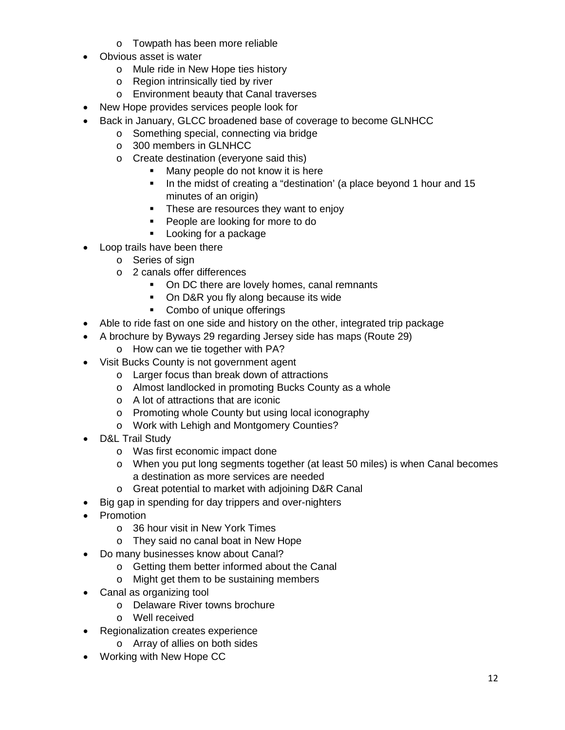- o Towpath has been more reliable
- Obvious asset is water
	- o Mule ride in New Hope ties history
	- o Region intrinsically tied by river
	- o Environment beauty that Canal traverses
- New Hope provides services people look for
- Back in January, GLCC broadened base of coverage to become GLNHCC
	- o Something special, connecting via bridge
	- o 300 members in GLNHCC
	- o Create destination (everyone said this)
		- **Many people do not know it is here**
		- In the midst of creating a "destination' (a place beyond 1 hour and 15 minutes of an origin)
		- These are resources they want to enjoy
		- **People are looking for more to do**
		- **Looking for a package**
- Loop trails have been there
	- o Series of sign
	- o 2 canals offer differences
		- On DC there are lovely homes, canal remnants
		- On D&R you fly along because its wide
		- Combo of unique offerings
- Able to ride fast on one side and history on the other, integrated trip package
- A brochure by Byways 29 regarding Jersey side has maps (Route 29)
	- o How can we tie together with PA?
- Visit Bucks County is not government agent
	- o Larger focus than break down of attractions
	- o Almost landlocked in promoting Bucks County as a whole
	- o A lot of attractions that are iconic
	- o Promoting whole County but using local iconography
	- o Work with Lehigh and Montgomery Counties?
- D&L Trail Study
	- o Was first economic impact done
	- o When you put long segments together (at least 50 miles) is when Canal becomes a destination as more services are needed
	- o Great potential to market with adjoining D&R Canal
- Big gap in spending for day trippers and over-nighters
- Promotion
	- o 36 hour visit in New York Times
	- o They said no canal boat in New Hope
- Do many businesses know about Canal?
	- o Getting them better informed about the Canal
	- o Might get them to be sustaining members
- Canal as organizing tool
	- o Delaware River towns brochure
	- o Well received
- Regionalization creates experience
	- o Array of allies on both sides
- Working with New Hope CC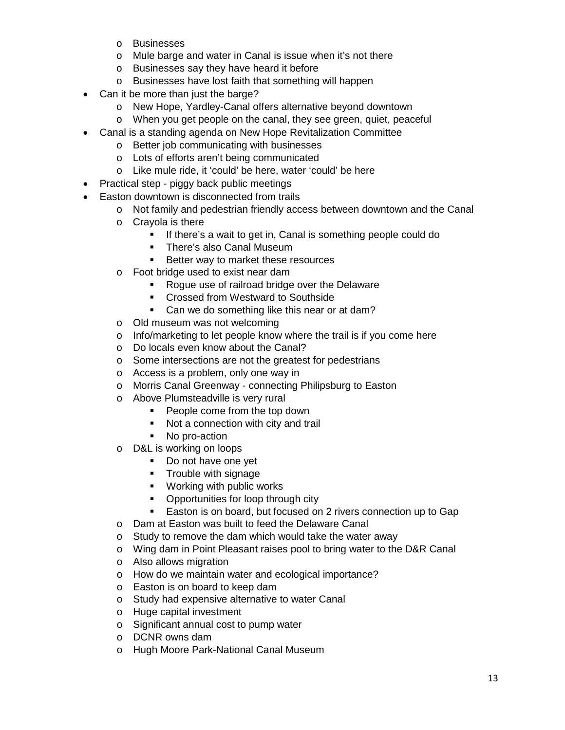- o Businesses
- o Mule barge and water in Canal is issue when it's not there
- o Businesses say they have heard it before
- o Businesses have lost faith that something will happen
- Can it be more than just the barge?
	- o New Hope, Yardley-Canal offers alternative beyond downtown
	- o When you get people on the canal, they see green, quiet, peaceful
- Canal is a standing agenda on New Hope Revitalization Committee
	- o Better job communicating with businesses
	- o Lots of efforts aren't being communicated
	- o Like mule ride, it 'could' be here, water 'could' be here
- Practical step piggy back public meetings
- Easton downtown is disconnected from trails
	- o Not family and pedestrian friendly access between downtown and the Canal
	- o Crayola is there
		- **If there's a wait to get in, Canal is something people could do**
		- **There's also Canal Museum**
		- Better way to market these resources
	- o Foot bridge used to exist near dam
		- Rogue use of railroad bridge over the Delaware
		- **EXECT** Crossed from Westward to Southside
		- Can we do something like this near or at dam?
	- o Old museum was not welcoming
	- o Info/marketing to let people know where the trail is if you come here
	- o Do locals even know about the Canal?
	- o Some intersections are not the greatest for pedestrians
	- o Access is a problem, only one way in
	- o Morris Canal Greenway connecting Philipsburg to Easton
	- o Above Plumsteadville is very rural
		- **People come from the top down**
		- Not a connection with city and trail
		- No pro-action
	- o D&L is working on loops
		- Do not have one yet
		- **Trouble with signage**
		- **•** Working with public works
		- Opportunities for loop through city
		- **Easton is on board, but focused on 2 rivers connection up to Gap**
	- o Dam at Easton was built to feed the Delaware Canal
	- o Study to remove the dam which would take the water away
	- o Wing dam in Point Pleasant raises pool to bring water to the D&R Canal
	- o Also allows migration
	- o How do we maintain water and ecological importance?
	- o Easton is on board to keep dam
	- o Study had expensive alternative to water Canal
	- o Huge capital investment
	- o Significant annual cost to pump water
	- o DCNR owns dam
	- o Hugh Moore Park-National Canal Museum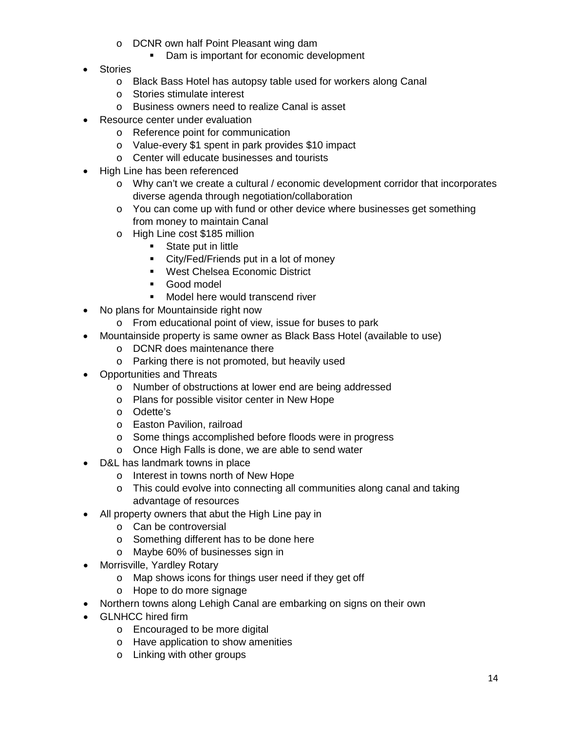- o DCNR own half Point Pleasant wing dam
	- Dam is important for economic development
- Stories
	- o Black Bass Hotel has autopsy table used for workers along Canal
	- o Stories stimulate interest
	- o Business owners need to realize Canal is asset
- Resource center under evaluation
	- o Reference point for communication
	- o Value-every \$1 spent in park provides \$10 impact
	- o Center will educate businesses and tourists
- High Line has been referenced
	- $\circ$  Why can't we create a cultural / economic development corridor that incorporates diverse agenda through negotiation/collaboration
	- o You can come up with fund or other device where businesses get something from money to maintain Canal
	- o High Line cost \$185 million
		- **State put in little**
		- City/Fed/Friends put in a lot of money
		- **West Chelsea Economic District**
		- **Good model**
		- **Model here would transcend river**
- No plans for Mountainside right now
	- o From educational point of view, issue for buses to park
- Mountainside property is same owner as Black Bass Hotel (available to use)
	- o DCNR does maintenance there
	- o Parking there is not promoted, but heavily used
- Opportunities and Threats
	- o Number of obstructions at lower end are being addressed
	- o Plans for possible visitor center in New Hope
	- o Odette's
	- o Easton Pavilion, railroad
	- o Some things accomplished before floods were in progress
	- o Once High Falls is done, we are able to send water
- D&L has landmark towns in place
	- o Interest in towns north of New Hope
	- o This could evolve into connecting all communities along canal and taking advantage of resources
- All property owners that abut the High Line pay in
	- o Can be controversial
	- o Something different has to be done here
	- o Maybe 60% of businesses sign in
- Morrisville, Yardley Rotary
	- o Map shows icons for things user need if they get off
	- o Hope to do more signage
- Northern towns along Lehigh Canal are embarking on signs on their own
- GLNHCC hired firm
	- o Encouraged to be more digital
	- o Have application to show amenities
	- o Linking with other groups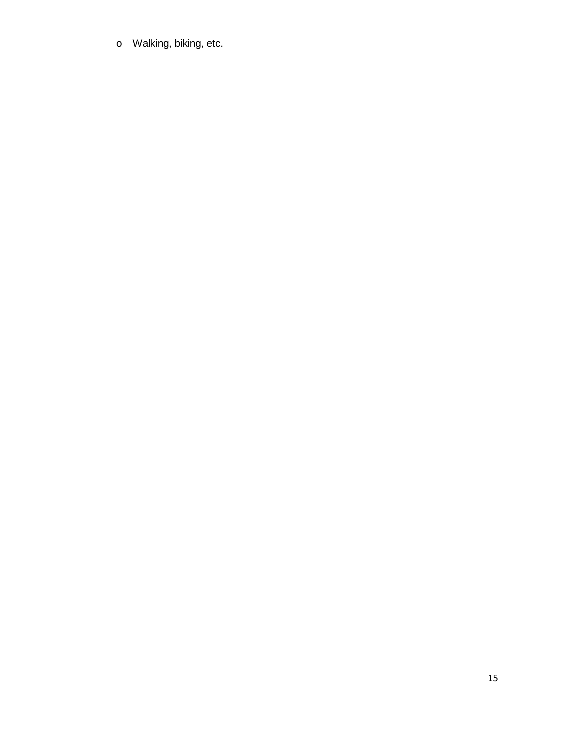o Walking, biking, etc.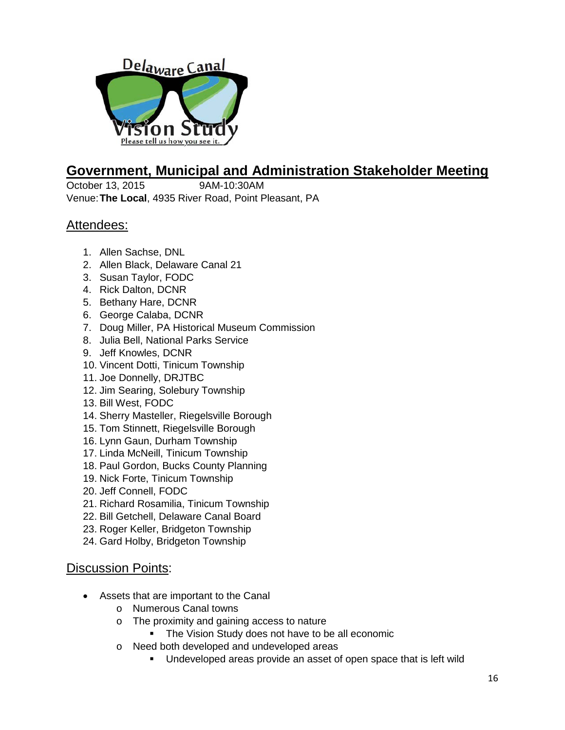

## **Government, Municipal and Administration Stakeholder Meeting**

October 13, 2015 9AM-10:30AM Venue:**The Local**, 4935 River Road, Point Pleasant, PA

## Attendees:

- 1. Allen Sachse, DNL
- 2. Allen Black, Delaware Canal 21
- 3. Susan Taylor, FODC
- 4. Rick Dalton, DCNR
- 5. Bethany Hare, DCNR
- 6. George Calaba, DCNR
- 7. Doug Miller, PA Historical Museum Commission
- 8. Julia Bell, National Parks Service
- 9. Jeff Knowles, DCNR
- 10. Vincent Dotti, Tinicum Township
- 11. Joe Donnelly, DRJTBC
- 12. Jim Searing, Solebury Township
- 13. Bill West, FODC
- 14. Sherry Masteller, Riegelsville Borough
- 15. Tom Stinnett, Riegelsville Borough
- 16. Lynn Gaun, Durham Township
- 17. Linda McNeill, Tinicum Township
- 18. Paul Gordon, Bucks County Planning
- 19. Nick Forte, Tinicum Township
- 20. Jeff Connell, FODC
- 21. Richard Rosamilia, Tinicum Township
- 22. Bill Getchell, Delaware Canal Board
- 23. Roger Keller, Bridgeton Township
- 24. Gard Holby, Bridgeton Township

- Assets that are important to the Canal
	- o Numerous Canal towns
	- o The proximity and gaining access to nature
		- The Vision Study does not have to be all economic
	- o Need both developed and undeveloped areas
		- **Undeveloped areas provide an asset of open space that is left wild**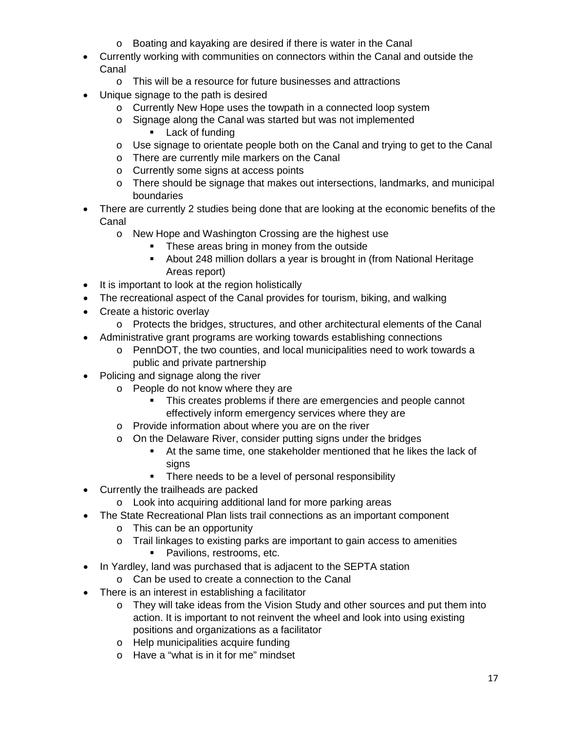- o Boating and kayaking are desired if there is water in the Canal
- Currently working with communities on connectors within the Canal and outside the Canal
	- o This will be a resource for future businesses and attractions
- Unique signage to the path is desired
	- o Currently New Hope uses the towpath in a connected loop system
	- o Signage along the Canal was started but was not implemented
		- **Lack of funding**
	- $\circ$  Use signage to orientate people both on the Canal and trying to get to the Canal
	- o There are currently mile markers on the Canal
	- o Currently some signs at access points
	- o There should be signage that makes out intersections, landmarks, and municipal boundaries
- There are currently 2 studies being done that are looking at the economic benefits of the Canal
	- o New Hope and Washington Crossing are the highest use
		- These areas bring in money from the outside
		- About 248 million dollars a year is brought in (from National Heritage Areas report)
- It is important to look at the region holistically
- The recreational aspect of the Canal provides for tourism, biking, and walking
- Create a historic overlay
	- o Protects the bridges, structures, and other architectural elements of the Canal
- Administrative grant programs are working towards establishing connections
	- o PennDOT, the two counties, and local municipalities need to work towards a public and private partnership
- Policing and signage along the river
	- o People do not know where they are
		- This creates problems if there are emergencies and people cannot effectively inform emergency services where they are
		- o Provide information about where you are on the river
		- o On the Delaware River, consider putting signs under the bridges
			- At the same time, one stakeholder mentioned that he likes the lack of signs
			- There needs to be a level of personal responsibility
- Currently the trailheads are packed
	- o Look into acquiring additional land for more parking areas
- The State Recreational Plan lists trail connections as an important component
	- o This can be an opportunity
	- o Trail linkages to existing parks are important to gain access to amenities
		- **Pavilions, restrooms, etc.**
- In Yardley, land was purchased that is adjacent to the SEPTA station
	- o Can be used to create a connection to the Canal
- There is an interest in establishing a facilitator
	- o They will take ideas from the Vision Study and other sources and put them into action. It is important to not reinvent the wheel and look into using existing positions and organizations as a facilitator
	- o Help municipalities acquire funding
	- o Have a "what is in it for me" mindset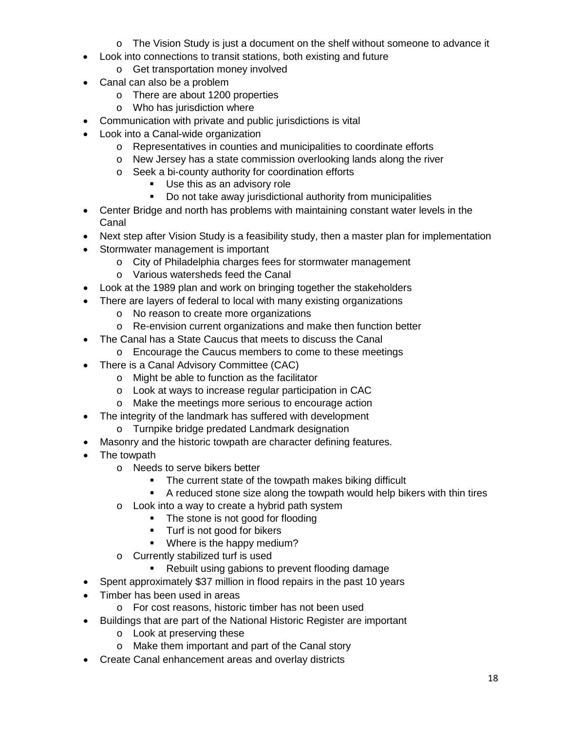- o The Vision Study is just a document on the shelf without someone to advance it
- Look into connections to transit stations, both existing and future
	- o Get transportation money involved
- Canal can also be a problem
	- o There are about 1200 properties
	- o Who has jurisdiction where
- Communication with private and public jurisdictions is vital
- Look into a Canal-wide organization
	- o Representatives in counties and municipalities to coordinate efforts
	- o New Jersey has a state commission overlooking lands along the river
	- o Seek a bi-county authority for coordination efforts
		- **Use this as an advisory role**
		- **-** Do not take away jurisdictional authority from municipalities
- Center Bridge and north has problems with maintaining constant water levels in the Canal
- Next step after Vision Study is a feasibility study, then a master plan for implementation
- Stormwater management is important
	- o City of Philadelphia charges fees for stormwater management
	- o Various watersheds feed the Canal
- Look at the 1989 plan and work on bringing together the stakeholders
- There are layers of federal to local with many existing organizations
	- o No reason to create more organizations
	- o Re-envision current organizations and make then function better
- The Canal has a State Caucus that meets to discuss the Canal
	- o Encourage the Caucus members to come to these meetings
- There is a Canal Advisory Committee (CAC)
	- o Might be able to function as the facilitator
	- o Look at ways to increase regular participation in CAC
	- o Make the meetings more serious to encourage action
- The integrity of the landmark has suffered with development
	- o Turnpike bridge predated Landmark designation
- Masonry and the historic towpath are character defining features.
- The towpath
	- o Needs to serve bikers better
		- The current state of the towpath makes biking difficult
		- A reduced stone size along the towpath would help bikers with thin tires
	- o Look into a way to create a hybrid path system
		- The stone is not good for flooding
		- **Turf is not good for bikers**
		- **Where is the happy medium?**
	- o Currently stabilized turf is used
		- Rebuilt using gabions to prevent flooding damage
- Spent approximately \$37 million in flood repairs in the past 10 years
- Timber has been used in areas
	- o For cost reasons, historic timber has not been used
- Buildings that are part of the National Historic Register are important
	- o Look at preserving these
	- o Make them important and part of the Canal story
- Create Canal enhancement areas and overlay districts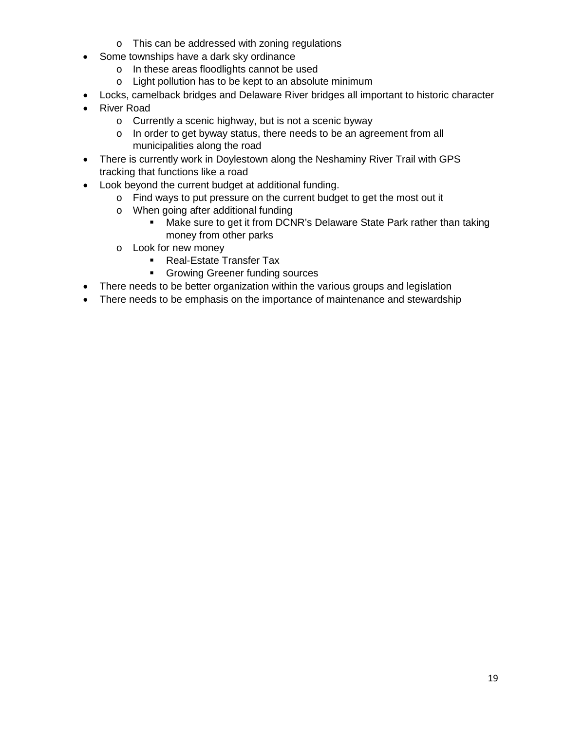- o This can be addressed with zoning regulations
- Some townships have a dark sky ordinance
	- o In these areas floodlights cannot be used
	- o Light pollution has to be kept to an absolute minimum
- Locks, camelback bridges and Delaware River bridges all important to historic character
- River Road
	- o Currently a scenic highway, but is not a scenic byway
	- o In order to get byway status, there needs to be an agreement from all municipalities along the road
- There is currently work in Doylestown along the Neshaminy River Trail with GPS tracking that functions like a road
- Look beyond the current budget at additional funding.
	- o Find ways to put pressure on the current budget to get the most out it
	- o When going after additional funding
		- Make sure to get it from DCNR's Delaware State Park rather than taking money from other parks
	- o Look for new money
		- **Real-Estate Transfer Tax**
		- **Growing Greener funding sources**
- There needs to be better organization within the various groups and legislation
- There needs to be emphasis on the importance of maintenance and stewardship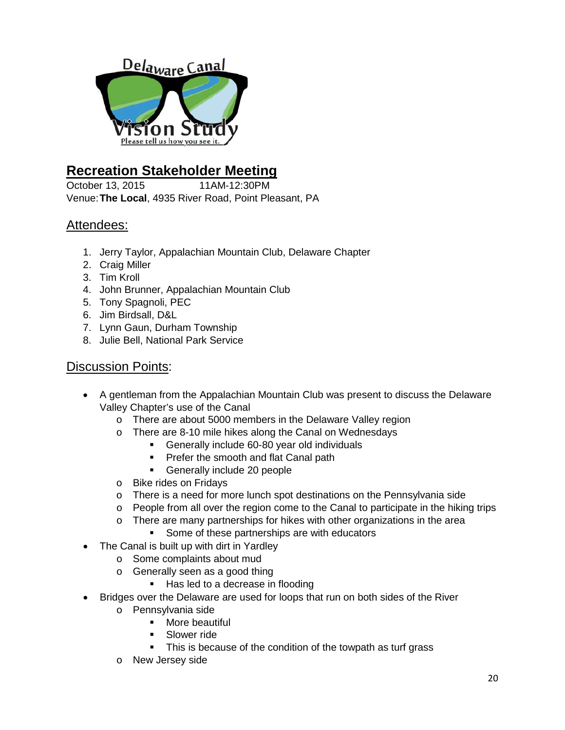

## **Recreation Stakeholder Meeting**

October 13, 2015 11AM-12:30PM Venue:**The Local**, 4935 River Road, Point Pleasant, PA

## Attendees:

- 1. Jerry Taylor, Appalachian Mountain Club, Delaware Chapter
- 2. Craig Miller
- 3. Tim Kroll
- 4. John Brunner, Appalachian Mountain Club
- 5. Tony Spagnoli, PEC
- 6. Jim Birdsall, D&L
- 7. Lynn Gaun, Durham Township
- 8. Julie Bell, National Park Service

- A gentleman from the Appalachian Mountain Club was present to discuss the Delaware Valley Chapter's use of the Canal
	- o There are about 5000 members in the Delaware Valley region
	- o There are 8-10 mile hikes along the Canal on Wednesdays
		- Generally include 60-80 year old individuals
		- **Prefer the smooth and flat Canal path**
		- Generally include 20 people
	- o Bike rides on Fridays
	- $\circ$  There is a need for more lunch spot destinations on the Pennsylvania side
	- o People from all over the region come to the Canal to participate in the hiking trips
	- $\circ$  There are many partnerships for hikes with other organizations in the area
		- Some of these partnerships are with educators
- The Canal is built up with dirt in Yardley
	- o Some complaints about mud
	- o Generally seen as a good thing
		- Has led to a decrease in flooding
- Bridges over the Delaware are used for loops that run on both sides of the River
	- o Pennsylvania side
		- **•** More beautiful
			- Slower ride
		- This is because of the condition of the towpath as turf grass
	- o New Jersey side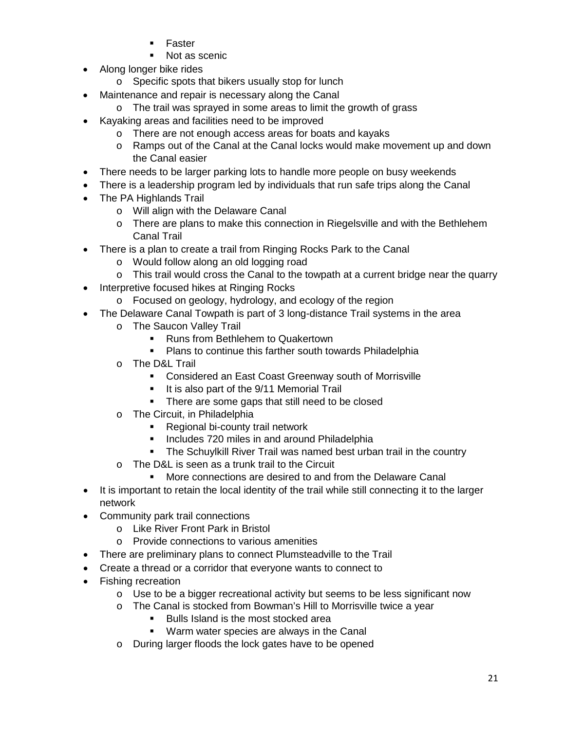- Faster
- Not as scenic
- Along longer bike rides
	- o Specific spots that bikers usually stop for lunch
- Maintenance and repair is necessary along the Canal
	- o The trail was sprayed in some areas to limit the growth of grass
- Kayaking areas and facilities need to be improved
	- o There are not enough access areas for boats and kayaks
	- o Ramps out of the Canal at the Canal locks would make movement up and down the Canal easier
- There needs to be larger parking lots to handle more people on busy weekends
- There is a leadership program led by individuals that run safe trips along the Canal
- The PA Highlands Trail
	- o Will align with the Delaware Canal
	- o There are plans to make this connection in Riegelsville and with the Bethlehem Canal Trail
- There is a plan to create a trail from Ringing Rocks Park to the Canal
	- o Would follow along an old logging road
	- o This trail would cross the Canal to the towpath at a current bridge near the quarry
- Interpretive focused hikes at Ringing Rocks
	- o Focused on geology, hydrology, and ecology of the region
- The Delaware Canal Towpath is part of 3 long-distance Trail systems in the area
	- o The Saucon Valley Trail
		- **Runs from Bethlehem to Quakertown**
		- **Plans to continue this farther south towards Philadelphia**
	- o The D&L Trail
		- **EXECONS** Considered an East Coast Greenway south of Morrisville
		- It is also part of the 9/11 Memorial Trail
		- There are some gaps that still need to be closed
	- o The Circuit, in Philadelphia
		- **Regional bi-county trail network**
		- **Includes 720 miles in and around Philadelphia**
		- The Schuylkill River Trail was named best urban trail in the country
	- o The D&L is seen as a trunk trail to the Circuit
		- More connections are desired to and from the Delaware Canal
- It is important to retain the local identity of the trail while still connecting it to the larger network
- Community park trail connections
	- o Like River Front Park in Bristol
	- o Provide connections to various amenities
- There are preliminary plans to connect Plumsteadville to the Trail
- Create a thread or a corridor that everyone wants to connect to
- Fishing recreation
	- $\circ$  Use to be a bigger recreational activity but seems to be less significant now
	- o The Canal is stocked from Bowman's Hill to Morrisville twice a year
		- Bulls Island is the most stocked area
		- **Warm water species are always in the Canal**
	- o During larger floods the lock gates have to be opened